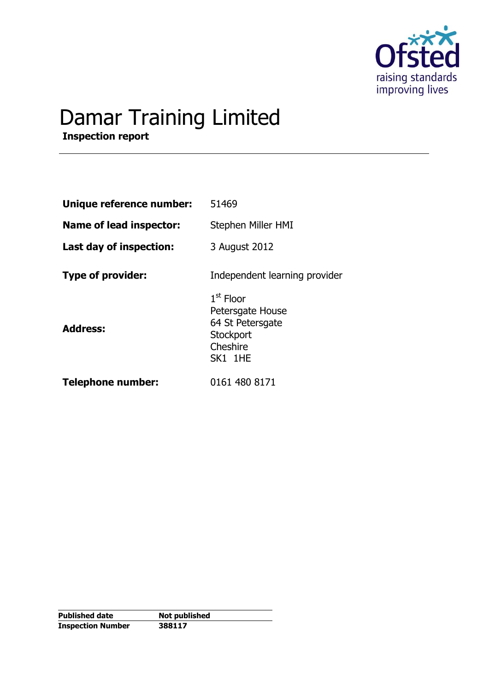

# Damar Training Limited

**Inspection report**

| Unique reference number:       | 51469                                                                                   |
|--------------------------------|-----------------------------------------------------------------------------------------|
| <b>Name of lead inspector:</b> | Stephen Miller HMI                                                                      |
| Last day of inspection:        | 3 August 2012                                                                           |
| <b>Type of provider:</b>       | Independent learning provider                                                           |
| <b>Address:</b>                | $1st$ Floor<br>Petersgate House<br>64 St Petersgate<br>Stockport<br>Cheshire<br>SK1 1HE |
| <b>Telephone number:</b>       | 0161 480 8171                                                                           |

**Published date Not published Inspection Number 388117**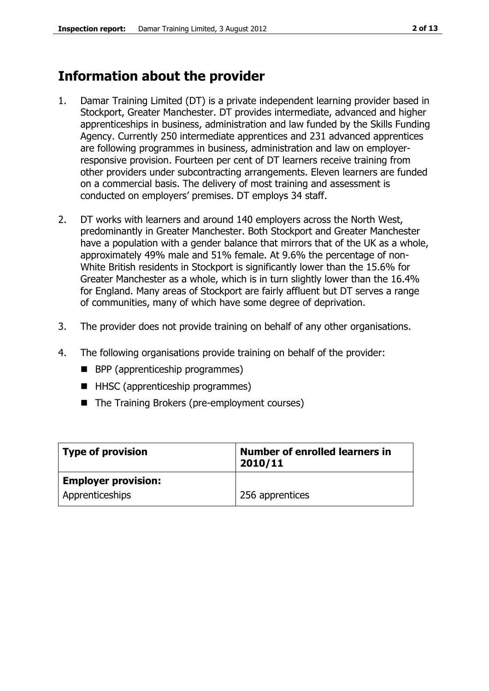## **Information about the provider**

- 1. Damar Training Limited (DT) is a private independent learning provider based in Stockport, Greater Manchester. DT provides intermediate, advanced and higher apprenticeships in business, administration and law funded by the Skills Funding Agency. Currently 250 intermediate apprentices and 231 advanced apprentices are following programmes in business, administration and law on employerresponsive provision. Fourteen per cent of DT learners receive training from other providers under subcontracting arrangements. Eleven learners are funded on a commercial basis. The delivery of most training and assessment is conducted on employers' premises. DT employs 34 staff.
- 2. DT works with learners and around 140 employers across the North West, predominantly in Greater Manchester. Both Stockport and Greater Manchester have a population with a gender balance that mirrors that of the UK as a whole, approximately 49% male and 51% female. At 9.6% the percentage of non-White British residents in Stockport is significantly lower than the 15.6% for Greater Manchester as a whole, which is in turn slightly lower than the 16.4% for England. Many areas of Stockport are fairly affluent but DT serves a range of communities, many of which have some degree of deprivation.
- 3. The provider does not provide training on behalf of any other organisations.
- 4. The following organisations provide training on behalf of the provider:
	- **BPP** (apprenticeship programmes)
	- HHSC (apprenticeship programmes)
	- The Training Brokers (pre-employment courses)

| Type of provision          | Number of enrolled learners in<br>2010/11 |
|----------------------------|-------------------------------------------|
| <b>Employer provision:</b> |                                           |
| Apprenticeships            | 256 apprentices                           |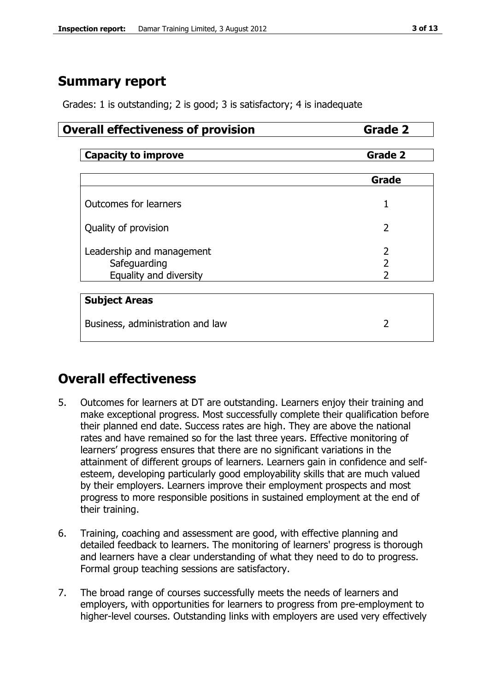## **Summary report**

Grades: 1 is outstanding; 2 is good; 3 is satisfactory; 4 is inadequate

## **Overall effectiveness of provision <b>Grade 2**

| <b>Capacity to improve</b>       | <b>Grade 2</b> |  |
|----------------------------------|----------------|--|
|                                  |                |  |
|                                  | Grade          |  |
| <b>Outcomes for learners</b>     | 1              |  |
| Quality of provision             | $\overline{2}$ |  |
| Leadership and management        | $\overline{2}$ |  |
| Safeguarding                     | $\overline{2}$ |  |
| Equality and diversity           | 2              |  |
|                                  |                |  |
| <b>Subject Areas</b>             |                |  |
| Business, administration and law |                |  |

## **Overall effectiveness**

- 5. Outcomes for learners at DT are outstanding. Learners enjoy their training and make exceptional progress. Most successfully complete their qualification before their planned end date. Success rates are high. They are above the national rates and have remained so for the last three years. Effective monitoring of learners' progress ensures that there are no significant variations in the attainment of different groups of learners. Learners gain in confidence and selfesteem, developing particularly good employability skills that are much valued by their employers. Learners improve their employment prospects and most progress to more responsible positions in sustained employment at the end of their training.
- 6. Training, coaching and assessment are good, with effective planning and detailed feedback to learners. The monitoring of learners' progress is thorough and learners have a clear understanding of what they need to do to progress. Formal group teaching sessions are satisfactory.
- 7. The broad range of courses successfully meets the needs of learners and employers, with opportunities for learners to progress from pre-employment to higher-level courses. Outstanding links with employers are used very effectively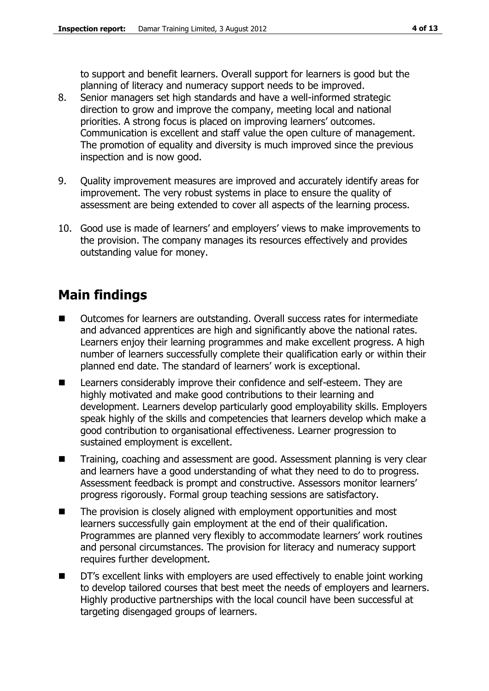to support and benefit learners. Overall support for learners is good but the planning of literacy and numeracy support needs to be improved.

- 8. Senior managers set high standards and have a well-informed strategic direction to grow and improve the company, meeting local and national priorities. A strong focus is placed on improving learners' outcomes. Communication is excellent and staff value the open culture of management. The promotion of equality and diversity is much improved since the previous inspection and is now good.
- 9. Quality improvement measures are improved and accurately identify areas for improvement. The very robust systems in place to ensure the quality of assessment are being extended to cover all aspects of the learning process.
- 10. Good use is made of learners' and employers' views to make improvements to the provision. The company manages its resources effectively and provides outstanding value for money.

## **Main findings**

- Outcomes for learners are outstanding. Overall success rates for intermediate and advanced apprentices are high and significantly above the national rates. Learners enjoy their learning programmes and make excellent progress. A high number of learners successfully complete their qualification early or within their planned end date. The standard of learners' work is exceptional.
- Learners considerably improve their confidence and self-esteem. They are highly motivated and make good contributions to their learning and development. Learners develop particularly good employability skills. Employers speak highly of the skills and competencies that learners develop which make a good contribution to organisational effectiveness. Learner progression to sustained employment is excellent.
- Training, coaching and assessment are good. Assessment planning is very clear and learners have a good understanding of what they need to do to progress. Assessment feedback is prompt and constructive. Assessors monitor learners' progress rigorously. Formal group teaching sessions are satisfactory.
- The provision is closely aligned with employment opportunities and most learners successfully gain employment at the end of their qualification. Programmes are planned very flexibly to accommodate learners' work routines and personal circumstances. The provision for literacy and numeracy support requires further development.
- DT's excellent links with employers are used effectively to enable joint working to develop tailored courses that best meet the needs of employers and learners. Highly productive partnerships with the local council have been successful at targeting disengaged groups of learners.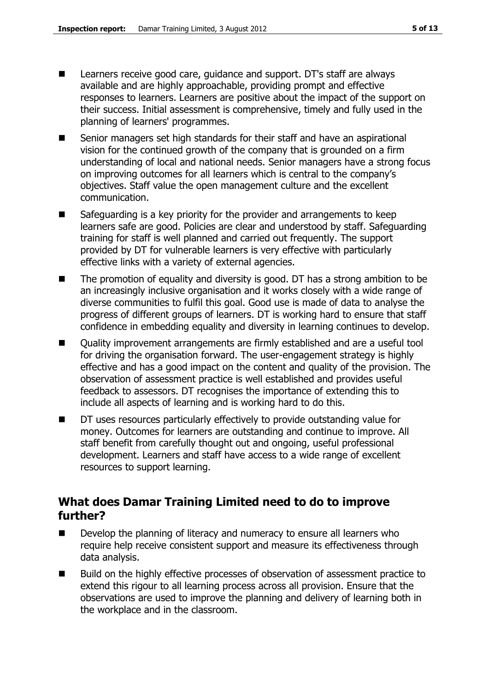- Learners receive good care, guidance and support. DT's staff are always available and are highly approachable, providing prompt and effective responses to learners. Learners are positive about the impact of the support on their success. Initial assessment is comprehensive, timely and fully used in the planning of learners' programmes.
- Senior managers set high standards for their staff and have an aspirational vision for the continued growth of the company that is grounded on a firm understanding of local and national needs. Senior managers have a strong focus on improving outcomes for all learners which is central to the company's objectives. Staff value the open management culture and the excellent communication.
- Safeguarding is a key priority for the provider and arrangements to keep learners safe are good. Policies are clear and understood by staff. Safeguarding training for staff is well planned and carried out frequently. The support provided by DT for vulnerable learners is very effective with particularly effective links with a variety of external agencies.
- The promotion of equality and diversity is good. DT has a strong ambition to be an increasingly inclusive organisation and it works closely with a wide range of diverse communities to fulfil this goal. Good use is made of data to analyse the progress of different groups of learners. DT is working hard to ensure that staff confidence in embedding equality and diversity in learning continues to develop.
- Quality improvement arrangements are firmly established and are a useful tool for driving the organisation forward. The user-engagement strategy is highly effective and has a good impact on the content and quality of the provision. The observation of assessment practice is well established and provides useful feedback to assessors. DT recognises the importance of extending this to include all aspects of learning and is working hard to do this.
- DT uses resources particularly effectively to provide outstanding value for money. Outcomes for learners are outstanding and continue to improve. All staff benefit from carefully thought out and ongoing, useful professional development. Learners and staff have access to a wide range of excellent resources to support learning.

## **What does Damar Training Limited need to do to improve further?**

- Develop the planning of literacy and numeracy to ensure all learners who require help receive consistent support and measure its effectiveness through data analysis.
- Build on the highly effective processes of observation of assessment practice to extend this rigour to all learning process across all provision. Ensure that the observations are used to improve the planning and delivery of learning both in the workplace and in the classroom.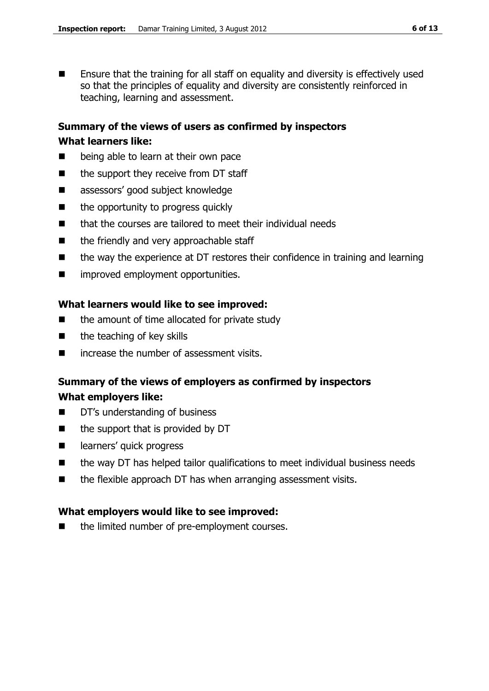**Ensure that the training for all staff on equality and diversity is effectively used** so that the principles of equality and diversity are consistently reinforced in teaching, learning and assessment.

#### **Summary of the views of users as confirmed by inspectors**

#### **What learners like:**

- **E** being able to learn at their own pace
- $\blacksquare$  the support they receive from DT staff
- assessors' good subject knowledge
- $\blacksquare$  the opportunity to progress quickly
- $\blacksquare$  that the courses are tailored to meet their individual needs
- the friendly and very approachable staff
- the way the experience at DT restores their confidence in training and learning
- $\blacksquare$  improved employment opportunities.

### **What learners would like to see improved:**

- $\blacksquare$  the amount of time allocated for private study
- $\blacksquare$  the teaching of key skills
- increase the number of assessment visits.

### **Summary of the views of employers as confirmed by inspectors What employers like:**

- DT's understanding of business
- $\blacksquare$  the support that is provided by DT
- earners' quick progress
- $\blacksquare$  the way DT has helped tailor qualifications to meet individual business needs
- the flexible approach DT has when arranging assessment visits.

### **What employers would like to see improved:**

■ the limited number of pre-employment courses.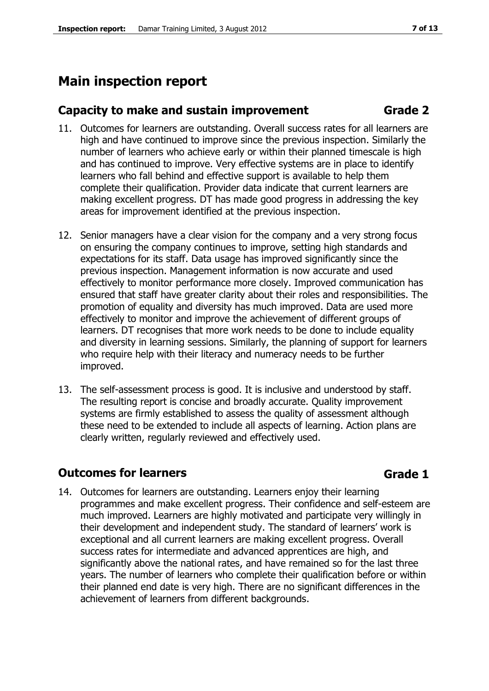## **Main inspection report**

## **Capacity to make and sustain improvement Grade 2**

- 11. Outcomes for learners are outstanding. Overall success rates for all learners are high and have continued to improve since the previous inspection. Similarly the number of learners who achieve early or within their planned timescale is high and has continued to improve. Very effective systems are in place to identify learners who fall behind and effective support is available to help them complete their qualification. Provider data indicate that current learners are making excellent progress. DT has made good progress in addressing the key areas for improvement identified at the previous inspection.
- 12. Senior managers have a clear vision for the company and a very strong focus on ensuring the company continues to improve, setting high standards and expectations for its staff. Data usage has improved significantly since the previous inspection. Management information is now accurate and used effectively to monitor performance more closely. Improved communication has ensured that staff have greater clarity about their roles and responsibilities. The promotion of equality and diversity has much improved. Data are used more effectively to monitor and improve the achievement of different groups of learners. DT recognises that more work needs to be done to include equality and diversity in learning sessions. Similarly, the planning of support for learners who require help with their literacy and numeracy needs to be further improved.
- 13. The self-assessment process is good. It is inclusive and understood by staff. The resulting report is concise and broadly accurate. Quality improvement systems are firmly established to assess the quality of assessment although these need to be extended to include all aspects of learning. Action plans are clearly written, regularly reviewed and effectively used.

## **Outcomes for learners Grade 1**

14. Outcomes for learners are outstanding. Learners enjoy their learning programmes and make excellent progress. Their confidence and self-esteem are much improved. Learners are highly motivated and participate very willingly in their development and independent study. The standard of learners' work is exceptional and all current learners are making excellent progress. Overall success rates for intermediate and advanced apprentices are high, and significantly above the national rates, and have remained so for the last three years. The number of learners who complete their qualification before or within their planned end date is very high. There are no significant differences in the achievement of learners from different backgrounds.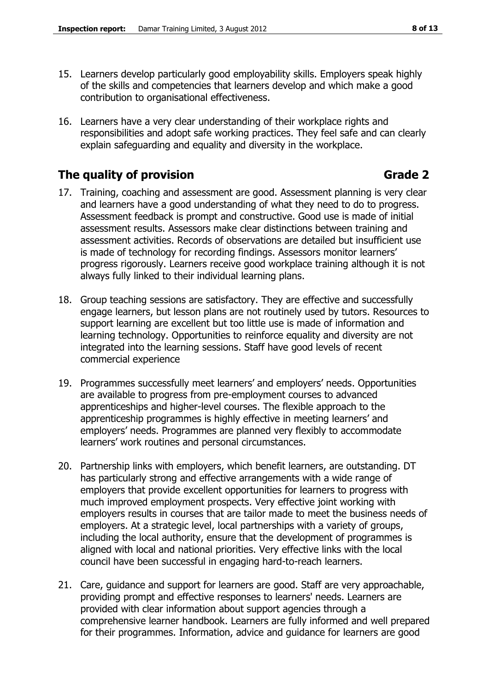- 15. Learners develop particularly good employability skills. Employers speak highly of the skills and competencies that learners develop and which make a good contribution to organisational effectiveness.
- 16. Learners have a very clear understanding of their workplace rights and responsibilities and adopt safe working practices. They feel safe and can clearly explain safeguarding and equality and diversity in the workplace.

## **The quality of provision Grade 2**

- 17. Training, coaching and assessment are good. Assessment planning is very clear and learners have a good understanding of what they need to do to progress. Assessment feedback is prompt and constructive. Good use is made of initial assessment results. Assessors make clear distinctions between training and assessment activities. Records of observations are detailed but insufficient use is made of technology for recording findings. Assessors monitor learners' progress rigorously. Learners receive good workplace training although it is not always fully linked to their individual learning plans.
- 18. Group teaching sessions are satisfactory. They are effective and successfully engage learners, but lesson plans are not routinely used by tutors. Resources to support learning are excellent but too little use is made of information and learning technology. Opportunities to reinforce equality and diversity are not integrated into the learning sessions. Staff have good levels of recent commercial experience
- 19. Programmes successfully meet learners' and employers' needs. Opportunities are available to progress from pre-employment courses to advanced apprenticeships and higher-level courses. The flexible approach to the apprenticeship programmes is highly effective in meeting learners' and employers' needs. Programmes are planned very flexibly to accommodate learners' work routines and personal circumstances.
- 20. Partnership links with employers, which benefit learners, are outstanding. DT has particularly strong and effective arrangements with a wide range of employers that provide excellent opportunities for learners to progress with much improved employment prospects. Very effective joint working with employers results in courses that are tailor made to meet the business needs of employers. At a strategic level, local partnerships with a variety of groups, including the local authority, ensure that the development of programmes is aligned with local and national priorities. Very effective links with the local council have been successful in engaging hard-to-reach learners.
- 21. Care, guidance and support for learners are good. Staff are very approachable, providing prompt and effective responses to learners' needs. Learners are provided with clear information about support agencies through a comprehensive learner handbook. Learners are fully informed and well prepared for their programmes. Information, advice and guidance for learners are good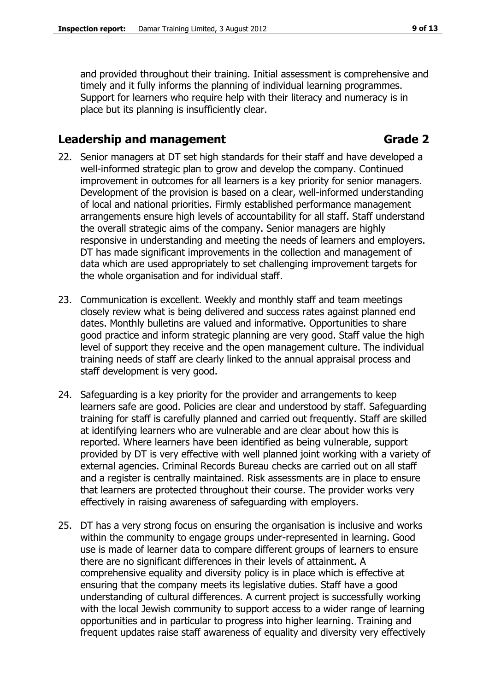and provided throughout their training. Initial assessment is comprehensive and timely and it fully informs the planning of individual learning programmes. Support for learners who require help with their literacy and numeracy is in place but its planning is insufficiently clear.

## **Leadership and management Grade 2**

- 22. Senior managers at DT set high standards for their staff and have developed a well-informed strategic plan to grow and develop the company. Continued improvement in outcomes for all learners is a key priority for senior managers. Development of the provision is based on a clear, well-informed understanding of local and national priorities. Firmly established performance management arrangements ensure high levels of accountability for all staff. Staff understand the overall strategic aims of the company. Senior managers are highly responsive in understanding and meeting the needs of learners and employers. DT has made significant improvements in the collection and management of data which are used appropriately to set challenging improvement targets for the whole organisation and for individual staff.
- 23. Communication is excellent. Weekly and monthly staff and team meetings closely review what is being delivered and success rates against planned end dates. Monthly bulletins are valued and informative. Opportunities to share good practice and inform strategic planning are very good. Staff value the high level of support they receive and the open management culture. The individual training needs of staff are clearly linked to the annual appraisal process and staff development is very good.
- 24. Safeguarding is a key priority for the provider and arrangements to keep learners safe are good. Policies are clear and understood by staff. Safeguarding training for staff is carefully planned and carried out frequently. Staff are skilled at identifying learners who are vulnerable and are clear about how this is reported. Where learners have been identified as being vulnerable, support provided by DT is very effective with well planned joint working with a variety of external agencies. Criminal Records Bureau checks are carried out on all staff and a register is centrally maintained. Risk assessments are in place to ensure that learners are protected throughout their course. The provider works very effectively in raising awareness of safeguarding with employers.
- 25. DT has a very strong focus on ensuring the organisation is inclusive and works within the community to engage groups under-represented in learning. Good use is made of learner data to compare different groups of learners to ensure there are no significant differences in their levels of attainment. A comprehensive equality and diversity policy is in place which is effective at ensuring that the company meets its legislative duties. Staff have a good understanding of cultural differences. A current project is successfully working with the local Jewish community to support access to a wider range of learning opportunities and in particular to progress into higher learning. Training and frequent updates raise staff awareness of equality and diversity very effectively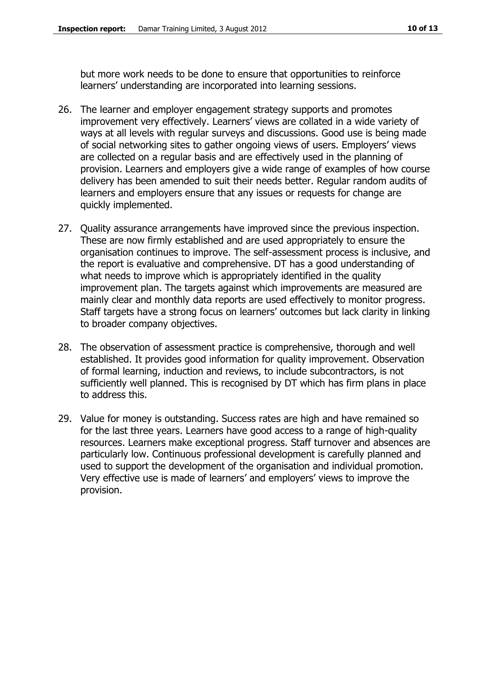but more work needs to be done to ensure that opportunities to reinforce learners' understanding are incorporated into learning sessions.

- 26. The learner and employer engagement strategy supports and promotes improvement very effectively. Learners' views are collated in a wide variety of ways at all levels with regular surveys and discussions. Good use is being made of social networking sites to gather ongoing views of users. Employers' views are collected on a regular basis and are effectively used in the planning of provision. Learners and employers give a wide range of examples of how course delivery has been amended to suit their needs better. Regular random audits of learners and employers ensure that any issues or requests for change are quickly implemented.
- 27. Quality assurance arrangements have improved since the previous inspection. These are now firmly established and are used appropriately to ensure the organisation continues to improve. The self-assessment process is inclusive, and the report is evaluative and comprehensive. DT has a good understanding of what needs to improve which is appropriately identified in the quality improvement plan. The targets against which improvements are measured are mainly clear and monthly data reports are used effectively to monitor progress. Staff targets have a strong focus on learners' outcomes but lack clarity in linking to broader company objectives.
- 28. The observation of assessment practice is comprehensive, thorough and well established. It provides good information for quality improvement. Observation of formal learning, induction and reviews, to include subcontractors, is not sufficiently well planned. This is recognised by DT which has firm plans in place to address this.
- 29. Value for money is outstanding. Success rates are high and have remained so for the last three years. Learners have good access to a range of high-quality resources. Learners make exceptional progress. Staff turnover and absences are particularly low. Continuous professional development is carefully planned and used to support the development of the organisation and individual promotion. Very effective use is made of learners' and employers' views to improve the provision.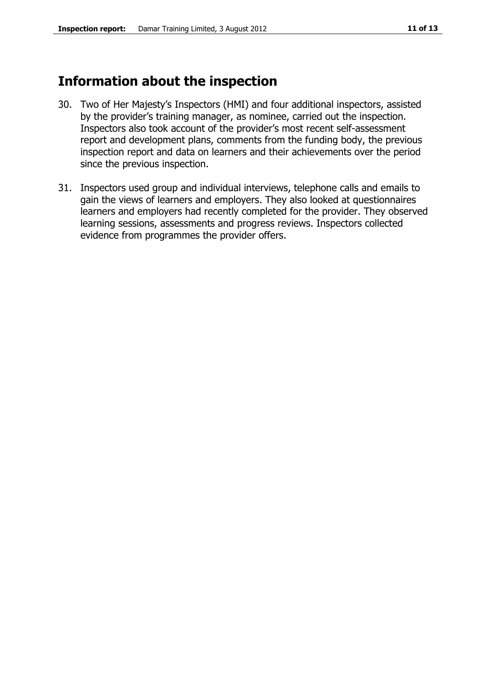## **Information about the inspection**

- 30. Two of Her Majesty's Inspectors (HMI) and four additional inspectors, assisted by the provider's training manager, as nominee, carried out the inspection. Inspectors also took account of the provider's most recent self-assessment report and development plans, comments from the funding body, the previous inspection report and data on learners and their achievements over the period since the previous inspection.
- 31. Inspectors used group and individual interviews, telephone calls and emails to gain the views of learners and employers. They also looked at questionnaires learners and employers had recently completed for the provider. They observed learning sessions, assessments and progress reviews. Inspectors collected evidence from programmes the provider offers.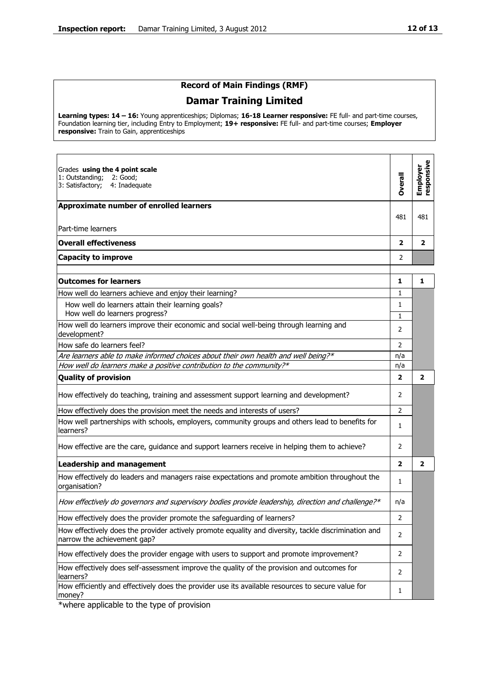#### **Record of Main Findings (RMF)**

### **Damar Training Limited**

**Learning types: 14 – 16:** Young apprenticeships; Diplomas; **16-18 Learner responsive:** FE full- and part-time courses, Foundation learning tier, including Entry to Employment; **19+ responsive:** FE full- and part-time courses; **Employer responsive:** Train to Gain, apprenticeships

| Grades using the 4 point scale<br>1: Outstanding;<br>2: Good;<br>3: Satisfactory;<br>4: Inadequate                                  | Overall                 | responsive<br>Employer  |
|-------------------------------------------------------------------------------------------------------------------------------------|-------------------------|-------------------------|
| Approximate number of enrolled learners<br>Part-time learners                                                                       | 481                     | 481                     |
| <b>Overall effectiveness</b>                                                                                                        | $\overline{\mathbf{2}}$ | $\overline{\mathbf{2}}$ |
| <b>Capacity to improve</b>                                                                                                          | 2                       |                         |
| <b>Outcomes for learners</b>                                                                                                        | 1                       | 1                       |
| How well do learners achieve and enjoy their learning?                                                                              | 1                       |                         |
| How well do learners attain their learning goals?<br>How well do learners progress?                                                 | 1<br>$\mathbf{1}$       |                         |
| How well do learners improve their economic and social well-being through learning and<br>development?                              | 2                       |                         |
| How safe do learners feel?                                                                                                          | $\overline{2}$          |                         |
| Are learners able to make informed choices about their own health and well being?*                                                  | n/a                     |                         |
| How well do learners make a positive contribution to the community?*                                                                | n/a                     |                         |
| <b>Quality of provision</b>                                                                                                         | $\mathbf{2}$            | $\overline{\mathbf{2}}$ |
| How effectively do teaching, training and assessment support learning and development?                                              | 2                       |                         |
| How effectively does the provision meet the needs and interests of users?                                                           | $\overline{2}$          |                         |
| How well partnerships with schools, employers, community groups and others lead to benefits for<br>learners?                        | $\mathbf{1}$            |                         |
| How effective are the care, guidance and support learners receive in helping them to achieve?                                       | $\overline{2}$          |                         |
| <b>Leadership and management</b>                                                                                                    | $\overline{2}$          | $\overline{2}$          |
| How effectively do leaders and managers raise expectations and promote ambition throughout the<br>organisation?                     | 1                       |                         |
| How effectively do governors and supervisory bodies provide leadership, direction and challenge?*                                   | n/a                     |                         |
| How effectively does the provider promote the safeguarding of learners?                                                             | $\overline{2}$          |                         |
| How effectively does the provider actively promote equality and diversity, tackle discrimination and<br>narrow the achievement gap? | 2                       |                         |
| How effectively does the provider engage with users to support and promote improvement?                                             | $\overline{2}$          |                         |
| How effectively does self-assessment improve the quality of the provision and outcomes for<br>learners?                             | $\overline{2}$          |                         |
| How efficiently and effectively does the provider use its available resources to secure value for<br>money?                         | 1                       |                         |

\*where applicable to the type of provision